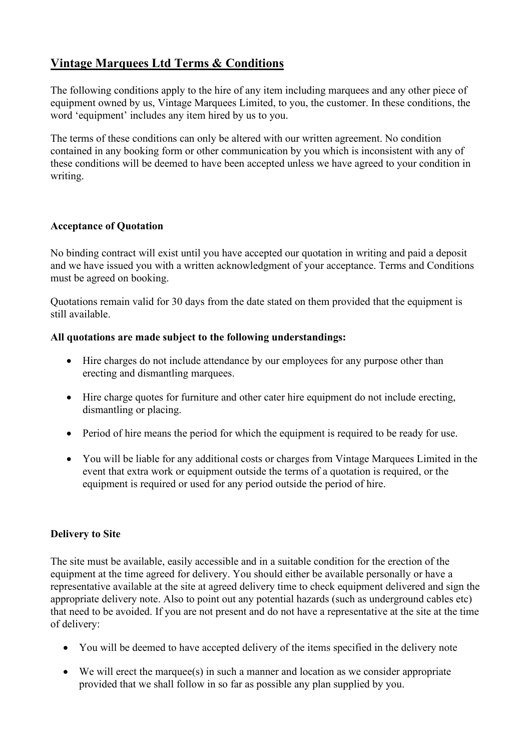# **Vintage Marquees Ltd Terms & Conditions**

The following conditions apply to the hire of any item including marquees and any other piece of equipment owned by us, Vintage Marquees Limited, to you, the customer. In these conditions, the word 'equipment' includes any item hired by us to you.

The terms of these conditions can only be altered with our written agreement. No condition contained in any booking form or other communication by you which is inconsistent with any of these conditions will be deemed to have been accepted unless we have agreed to your condition in writing.

### **Acceptance of Quotation**

No binding contract will exist until you have accepted our quotation in writing and paid a deposit and we have issued you with a written acknowledgment of your acceptance. Terms and Conditions must be agreed on booking.

Quotations remain valid for 30 days from the date stated on them provided that the equipment is still available.

# **All quotations are made subject to the following understandings:**

- Hire charges do not include attendance by our employees for any purpose other than erecting and dismantling marquees.
- Hire charge quotes for furniture and other cater hire equipment do not include erecting, dismantling or placing.
- Period of hire means the period for which the equipment is required to be ready for use.
- You will be liable for any additional costs or charges from Vintage Marquees Limited in the event that extra work or equipment outside the terms of a quotation is required, or the equipment is required or used for any period outside the period of hire.

### **Delivery to Site**

The site must be available, easily accessible and in a suitable condition for the erection of the equipment at the time agreed for delivery. You should either be available personally or have a representative available at the site at agreed delivery time to check equipment delivered and sign the appropriate delivery note. Also to point out any potential hazards (such as underground cables etc) that need to be avoided. If you are not present and do not have a representative at the site at the time of delivery:

- You will be deemed to have accepted delivery of the items specified in the delivery note
- We will erect the marquee(s) in such a manner and location as we consider appropriate provided that we shall follow in so far as possible any plan supplied by you.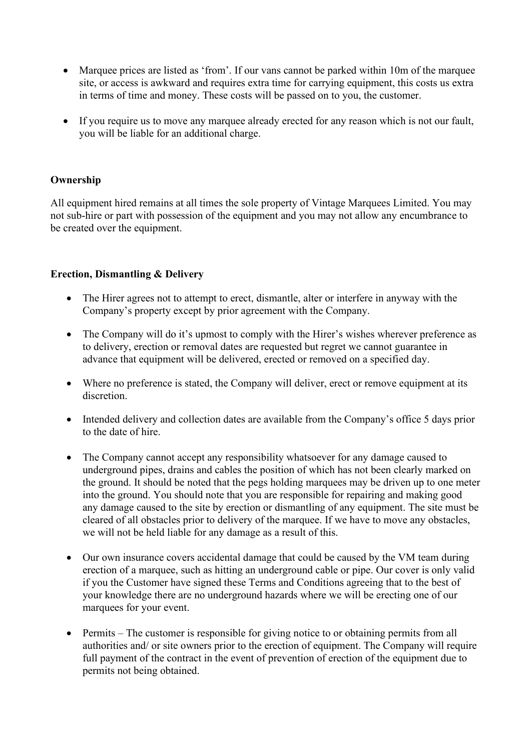- Marquee prices are listed as 'from'. If our vans cannot be parked within 10m of the marquee site, or access is awkward and requires extra time for carrying equipment, this costs us extra in terms of time and money. These costs will be passed on to you, the customer.
- If you require us to move any marquee already erected for any reason which is not our fault, you will be liable for an additional charge.

#### **Ownership**

All equipment hired remains at all times the sole property of Vintage Marquees Limited. You may not sub-hire or part with possession of the equipment and you may not allow any encumbrance to be created over the equipment.

#### **Erection, Dismantling & Delivery**

- The Hirer agrees not to attempt to erect, dismantle, alter or interfere in anyway with the Company's property except by prior agreement with the Company.
- The Company will do it's upmost to comply with the Hirer's wishes wherever preference as to delivery, erection or removal dates are requested but regret we cannot guarantee in advance that equipment will be delivered, erected or removed on a specified day.
- Where no preference is stated, the Company will deliver, erect or remove equipment at its discretion.
- Intended delivery and collection dates are available from the Company's office 5 days prior to the date of hire.
- The Company cannot accept any responsibility whatsoever for any damage caused to underground pipes, drains and cables the position of which has not been clearly marked on the ground. It should be noted that the pegs holding marquees may be driven up to one meter into the ground. You should note that you are responsible for repairing and making good any damage caused to the site by erection or dismantling of any equipment. The site must be cleared of all obstacles prior to delivery of the marquee. If we have to move any obstacles, we will not be held liable for any damage as a result of this.
- Our own insurance covers accidental damage that could be caused by the VM team during erection of a marquee, such as hitting an underground cable or pipe. Our cover is only valid if you the Customer have signed these Terms and Conditions agreeing that to the best of your knowledge there are no underground hazards where we will be erecting one of our marquees for your event.
- Permits The customer is responsible for giving notice to or obtaining permits from all authorities and/ or site owners prior to the erection of equipment. The Company will require full payment of the contract in the event of prevention of erection of the equipment due to permits not being obtained.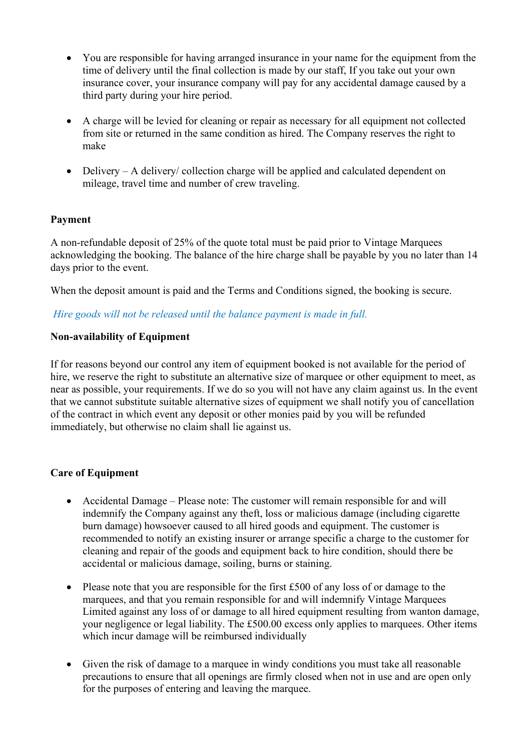- You are responsible for having arranged insurance in your name for the equipment from the time of delivery until the final collection is made by our staff, If you take out your own insurance cover, your insurance company will pay for any accidental damage caused by a third party during your hire period.
- A charge will be levied for cleaning or repair as necessary for all equipment not collected from site or returned in the same condition as hired. The Company reserves the right to make
- Delivery A delivery/ collection charge will be applied and calculated dependent on mileage, travel time and number of crew traveling.

### **Payment**

A non-refundable deposit of 25% of the quote total must be paid prior to Vintage Marquees acknowledging the booking. The balance of the hire charge shall be payable by you no later than 14 days prior to the event.

When the deposit amount is paid and the Terms and Conditions signed, the booking is secure.

# *Hire goods will not be released until the balance payment is made in full.*

# **Non-availability of Equipment**

If for reasons beyond our control any item of equipment booked is not available for the period of hire, we reserve the right to substitute an alternative size of marquee or other equipment to meet, as near as possible, your requirements. If we do so you will not have any claim against us. In the event that we cannot substitute suitable alternative sizes of equipment we shall notify you of cancellation of the contract in which event any deposit or other monies paid by you will be refunded immediately, but otherwise no claim shall lie against us.

### **Care of Equipment**

- Accidental Damage Please note: The customer will remain responsible for and will indemnify the Company against any theft, loss or malicious damage (including cigarette burn damage) howsoever caused to all hired goods and equipment. The customer is recommended to notify an existing insurer or arrange specific a charge to the customer for cleaning and repair of the goods and equipment back to hire condition, should there be accidental or malicious damage, soiling, burns or staining.
- Please note that you are responsible for the first £500 of any loss of or damage to the marquees, and that you remain responsible for and will indemnify Vintage Marquees Limited against any loss of or damage to all hired equipment resulting from wanton damage, your negligence or legal liability. The £500.00 excess only applies to marquees. Other items which incur damage will be reimbursed individually
- Given the risk of damage to a marquee in windy conditions you must take all reasonable precautions to ensure that all openings are firmly closed when not in use and are open only for the purposes of entering and leaving the marquee.